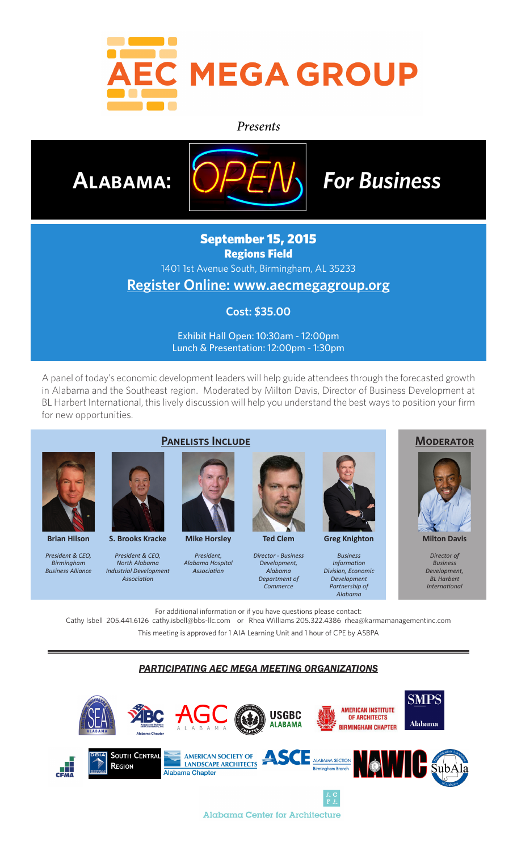

#### *Presents*



## September 15, 2015 Regions Field

1401 1st Avenue South, Birmingham, AL 35233

# **Register Online: www.aecmegagroup.org**

### **Cost: \$35.00**

Exhibit Hall Open: 10:30am - 12:00pm Lunch & Presentation: 12:00pm - 1:30pm

A panel of today's economic development leaders will help guide attendees through the forecasted growth in Alabama and the Southeast region. Moderated by Milton Davis, Director of Business Development at BL Harbert International, this lively discussion will help you understand the best ways to position your firm for new opportunities.



**Brian Hilson**

*President & CEO, Birmingham Business Alliance*



**S. Brooks Kracke**

*President & CEO, North Alabama Industrial Development Association*



**Mike Horsley**

*President, Alabama Hospital Association*



*Director - Business Development, Alabama Department of Commerce*

**Greg Knighton** *Business Information Division, Economic Development Partnership of* 

*Alabama*





*Director of Business* 

*Development, BL Harbert International*

For additional information or if you have questions please contact:

Cathy Isbell 205.441.6126 cathy.isbell@bbs-llc.com or Rhea Williams 205.322.4386 rhea@karmamanagementinc.com This meeting is approved for 1 AIA Learning Unit and 1 hour of CPE by ASBPA

*PARTICIPATING AEC MEGA MEETING ORGANIZATIONS*

SMPS SEA **AMERICAN INSTITUTE USGBC** OF ARCHITECTS **Alabama ALABAMA BIRMINGHAM CHAPTER A L A B A M A** AMERICAN SOCIETY OF **ANDERSON** ALABAMA SECTION NATURE AND **DESCRIPTION OF ALABAMA SECTION SOUTH CENTRAL** CEMA **REGION** Alabama Chapter

Alabama Center for Architecture